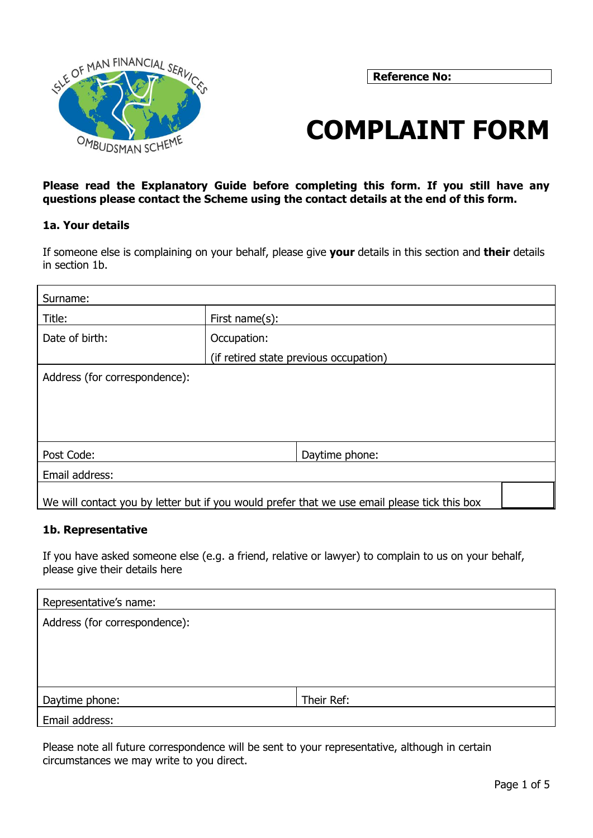

**Reference No:**

# **COMPLAINT FORM**

**Please read the Explanatory Guide before completing this form. If you still have any questions please contact the Scheme using the contact details at the end of this form.** 

## **1a. Your details**

If someone else is complaining on your behalf, please give **your** details in this section and **their** details in section 1b.

| Surname:                      |                                                                                              |  |  |
|-------------------------------|----------------------------------------------------------------------------------------------|--|--|
| Title:                        | First name $(s)$ :                                                                           |  |  |
| Date of birth:                | Occupation:                                                                                  |  |  |
|                               | (if retired state previous occupation)                                                       |  |  |
| Address (for correspondence): |                                                                                              |  |  |
|                               |                                                                                              |  |  |
|                               |                                                                                              |  |  |
|                               |                                                                                              |  |  |
| Post Code:                    | Daytime phone:                                                                               |  |  |
| Email address:                |                                                                                              |  |  |
|                               | We will contact you by letter but if you would prefer that we use email please tick this box |  |  |

## **1b. Representative**

If you have asked someone else (e.g. a friend, relative or lawyer) to complain to us on your behalf, please give their details here

| Representative's name:        |            |
|-------------------------------|------------|
| Address (for correspondence): |            |
|                               |            |
|                               |            |
|                               |            |
| Daytime phone:                | Their Ref: |
| Email address:                |            |

Please note all future correspondence will be sent to your representative, although in certain circumstances we may write to you direct.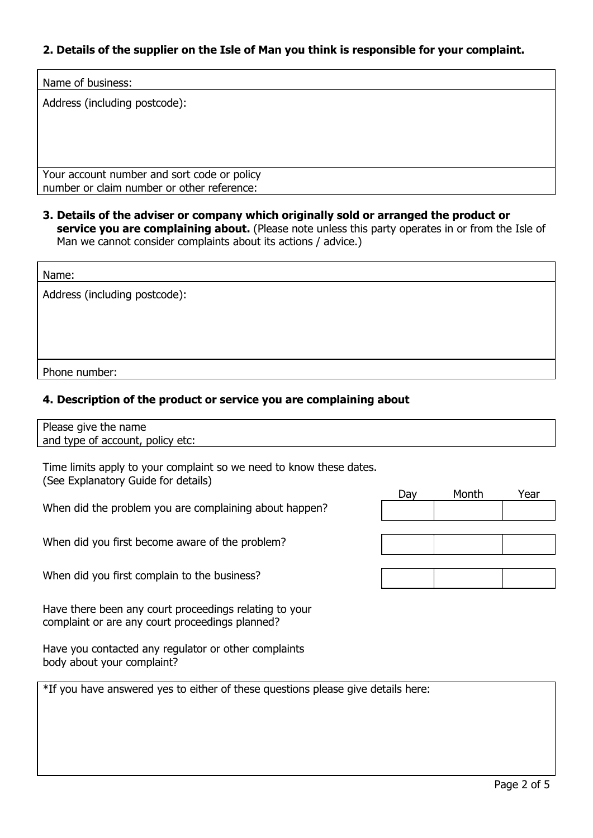# **2. Details of the supplier on the Isle of Man you think is responsible for your complaint.**

| Name of business:             |  |  |
|-------------------------------|--|--|
| Address (including postcode): |  |  |
|                               |  |  |
|                               |  |  |

Your account number and sort code or policy number or claim number or other reference:

**3. Details of the adviser or company which originally sold or arranged the product or** service you are complaining about. (Please note unless this party operates in or from the Isle of Man we cannot consider complaints about its actions / advice.)

| Name:                         |  |
|-------------------------------|--|
| Address (including postcode): |  |
|                               |  |
|                               |  |
|                               |  |
| Phone number:                 |  |

# **4. Description of the product or service you are complaining about**

| Please give the name             |
|----------------------------------|
| and type of account, policy etc: |

Time limits apply to your complaint so we need to know these dates. (See Explanatory Guide for details)

When did the problem you are complaining about happen?

When did you first become aware of the problem?

When did you first complain to the business?

Have there been any court proceedings relating to your complaint or are any court proceedings planned?

Have you contacted any regulator or other complaints body about your complaint?

\*If you have answered yes to either of these questions please give details here:

| Day | Month | Year |
|-----|-------|------|
|     |       |      |
|     |       |      |
|     |       |      |
|     |       |      |
|     |       |      |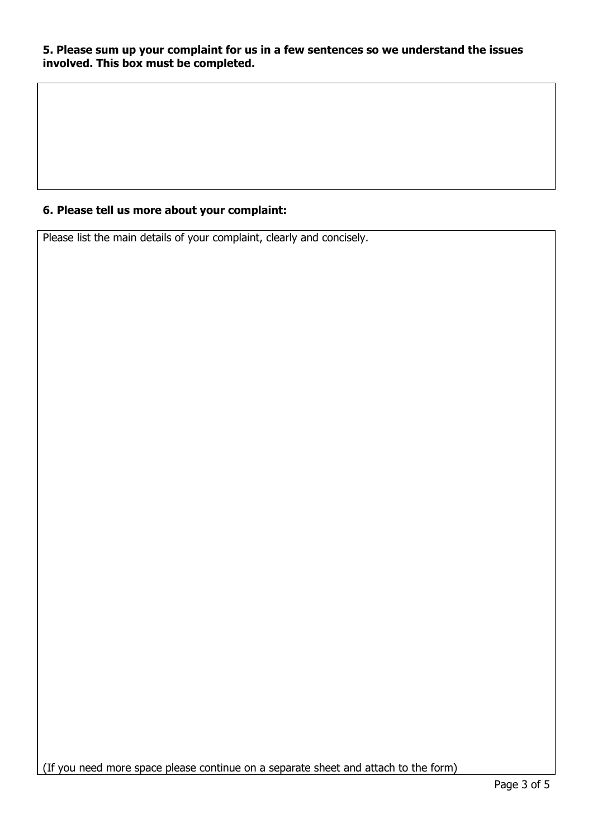# **5. Please sum up your complaint for us in a few sentences so we understand the issues involved. This box must be completed.**

# **6. Please tell us more about your complaint:**

Please list the main details of your complaint, clearly and concisely.

(If you need more space please continue on a separate sheet and attach to the form)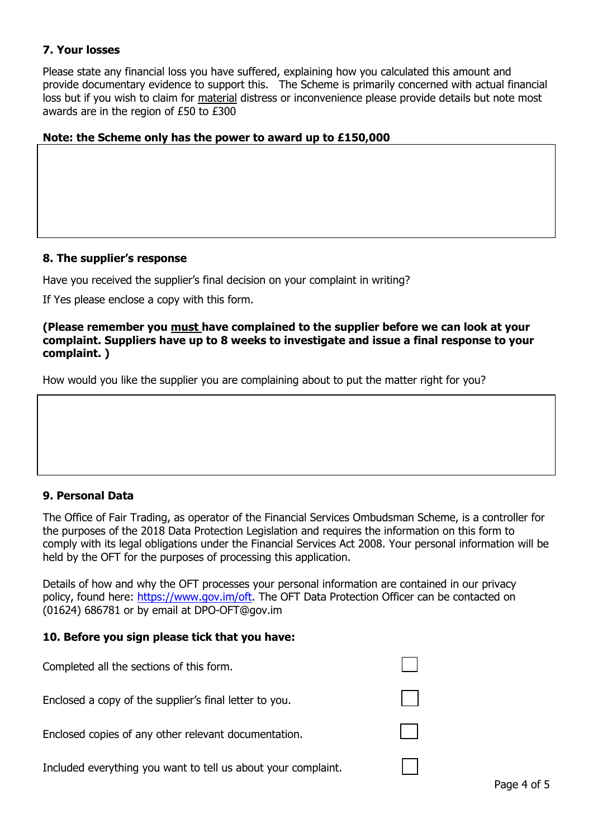## **7. Your losses**

Please state any financial loss you have suffered, explaining how you calculated this amount and provide documentary evidence to support this. The Scheme is primarily concerned with actual financial loss but if you wish to claim for material distress or inconvenience please provide details but note most awards are in the region of £50 to £300

## **Note: the Scheme only has the power to award up to £150,000**

## **8. The supplier's response**

Have you received the supplier's final decision on your complaint in writing?

If Yes please enclose a copy with this form.

#### **(Please remember you must have complained to the supplier before we can look at your complaint. Suppliers have up to 8 weeks to investigate and issue a final response to your complaint. )**

How would you like the supplier you are complaining about to put the matter right for you?

## **9. Personal Data**

The Office of Fair Trading, as operator of the Financial Services Ombudsman Scheme, is a controller for the purposes of the 2018 Data Protection Legislation and requires the information on this form to comply with its legal obligations under the Financial Services Act 2008. Your personal information will be held by the OFT for the purposes of processing this application.

Details of how and why the OFT processes your personal information are contained in our privacy policy, found here: [https://www.gov.im/oft.](https://www.gov.im/oft) The OFT Data Protection Officer can be contacted on (01624) 686781 or by email at DPO-OFT@gov.im

## **10. Before you sign please tick that you have:**

| Completed all the sections of this form.                      |  |
|---------------------------------------------------------------|--|
| Enclosed a copy of the supplier's final letter to you.        |  |
| Enclosed copies of any other relevant documentation.          |  |
| Included everything you want to tell us about your complaint. |  |